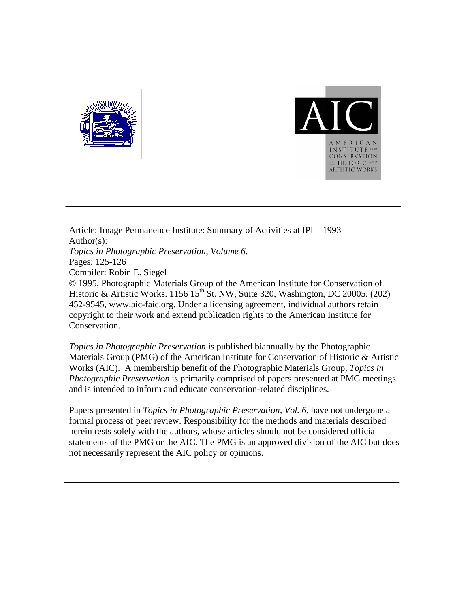



Article: Image Permanence Institute: Summary of Activities at IPI—1993 Author(s): *Topics in Photographic Preservation, Volume 6*. Pages: 125-126 Compiler: Robin E. Siegel © 1995, Photographic Materials Group of the American Institute for Conservation of Historic & Artistic Works. 1156 15<sup>th</sup> St. NW, Suite 320, Washington, DC 20005. (202) 452-9545, www.aic-faic.org. Under a licensing agreement, individual authors retain copyright to their work and extend publication rights to the American Institute for Conservation.

*Topics in Photographic Preservation* is published biannually by the Photographic Materials Group (PMG) of the American Institute for Conservation of Historic & Artistic Works (AIC). A membership benefit of the Photographic Materials Group, *Topics in Photographic Preservation* is primarily comprised of papers presented at PMG meetings and is intended to inform and educate conservation-related disciplines.

Papers presented in *Topics in Photographic Preservation, Vol. 6*, have not undergone a formal process of peer review. Responsibility for the methods and materials described herein rests solely with the authors, whose articles should not be considered official statements of the PMG or the AIC. The PMG is an approved division of the AIC but does not necessarily represent the AIC policy or opinions.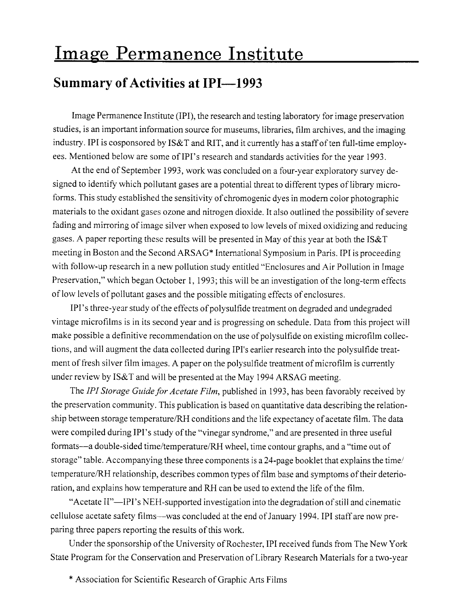## Image Permanence Institute

## **Summary of Activities at IPI-1993**

Image Permanence Institute (IPI), the research and testing laboratory for image preservation studies, is an important information source for museums, libraries, film archives, and the imaging industry. IPI is cosponsored by IS&T and RIT, and it currently has a staff of ten full-time employees. Mentioned below are some of IPI's research and standards activities for the year 1993.

At the end of September 1993, work was concluded on a four-year exploratory survey designed to identify which pollutant gases are a potential threat to different types of library microforms. This study established the sensitivity of chromogenic dyes in modem color photographic materials to the oxidant gases ozone and nitrogen dioxide. It also outlined the possibility of severe fading and mirroring of image silver when exposed to low levels of mixed oxidizing and reducing gases. A paper reporting these results will be presented in May of this year at both the IS&T meeting in Boston and the Second ARSAG\* International Symposium in Paris. IPI is proceeding with follow-up research in a new pollution study entitled "Enclosures and Air Pollution in Image Preservation," which began October 1, 1993; this will be an investigation of the long-term effects of low levels of pollutant gases and the possible mitigating effects of enclosures.

IPI's three-year study of the effects of polysulfide treatment on degraded and undegraded vintage microfilms is in its second year and is progressing on schedule. Data from this project will make possible a definitive recommendation on the use of polysulfide on existing microfilm collections, and will augment the data collected during IPI's earlier research into the polysulfide treatment of fresh silver film images. A paper on the polysulfide treatment of microfilm is currently under review by IS&T and will be presented at the May 1994 ARSAG meeting.

The *IPI Storage Guide for Acetate Film,* published in 1993, has been favorably received by the preservation community. This publication is based on quantitative data describing the relationship between storage temperature/RH conditions and the life expectancy of acetate film. The data were compiled during IPI's study of the "vinegar syndrome," and are presented in three useful formats-a double-sided time/temperature/RH wheel, time contour graphs, and a "time out of storage" table. Accompanying these three components is a 24-page booklet that explains the time/ temperature/RH relationship, describes common types of film base and symptoms of their deterioration, and explains how temperature and RH can be used to extend the life of the film.

"Acetate II"—IPI's NEH-supported investigation into the degradation of still and cinematic cellulose acetate safety films-was concluded at the end of January 1994. IPI staff are now preparing three papers reporting the results of this work.

Under the sponsorship of the University of Rochester, IPI received funds from The New York State Program for the Conservation and Preservation of Library Research Materials for a two-year

\* Association for Scientific Research of Graphic Arts Films